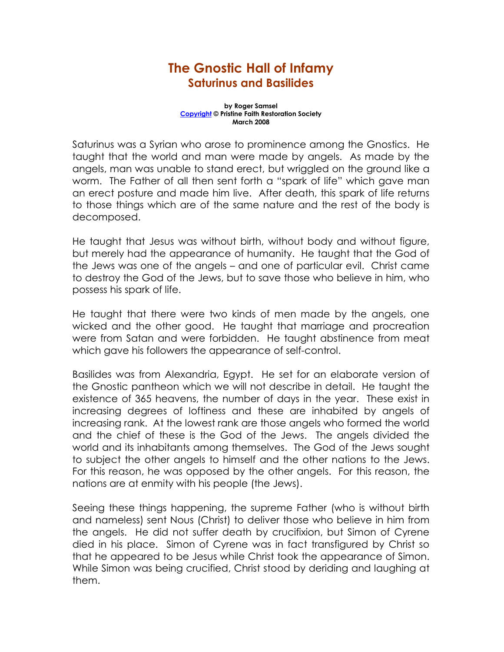## The Gnostic Hall of Infamy Saturinus and Basilides

## by Roger Samsel Copyright © Pristine Faith Restoration Society March 2008

Saturinus was a Syrian who arose to prominence among the Gnostics. He taught that the world and man were made by angels. As made by the angels, man was unable to stand erect, but wriggled on the ground like a worm. The Father of all then sent forth a "spark of life" which gave man an erect posture and made him live. After death, this spark of life returns to those things which are of the same nature and the rest of the body is decomposed.

He taught that Jesus was without birth, without body and without figure, but merely had the appearance of humanity. He taught that the God of the Jews was one of the angels – and one of particular evil. Christ came to destroy the God of the Jews, but to save those who believe in him, who possess his spark of life.

He taught that there were two kinds of men made by the angels, one wicked and the other good. He taught that marriage and procreation were from Satan and were forbidden. He taught abstinence from meat which gave his followers the appearance of self-control.

Basilides was from Alexandria, Egypt. He set for an elaborate version of the Gnostic pantheon which we will not describe in detail. He taught the existence of 365 heavens, the number of days in the year. These exist in increasing degrees of loftiness and these are inhabited by angels of increasing rank. At the lowest rank are those angels who formed the world and the chief of these is the God of the Jews. The angels divided the world and its inhabitants among themselves. The God of the Jews sought to subject the other angels to himself and the other nations to the Jews. For this reason, he was opposed by the other angels. For this reason, the nations are at enmity with his people (the Jews).

Seeing these things happening, the supreme Father (who is without birth and nameless) sent Nous (Christ) to deliver those who believe in him from the angels. He did not suffer death by crucifixion, but Simon of Cyrene died in his place. Simon of Cyrene was in fact transfigured by Christ so that he appeared to be Jesus while Christ took the appearance of Simon. While Simon was being crucified, Christ stood by deriding and laughing at them.